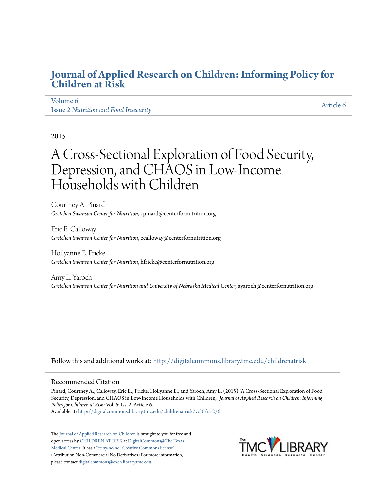# **[Journal of Applied Research on Children: Informing Policy for](http://digitalcommons.library.tmc.edu/childrenatrisk?utm_source=digitalcommons.library.tmc.edu%2Fchildrenatrisk%2Fvol6%2Fiss2%2F6&utm_medium=PDF&utm_campaign=PDFCoverPages) [Children at Risk](http://digitalcommons.library.tmc.edu/childrenatrisk?utm_source=digitalcommons.library.tmc.edu%2Fchildrenatrisk%2Fvol6%2Fiss2%2F6&utm_medium=PDF&utm_campaign=PDFCoverPages)**

# [Volume 6](http://digitalcommons.library.tmc.edu/childrenatrisk/vol6?utm_source=digitalcommons.library.tmc.edu%2Fchildrenatrisk%2Fvol6%2Fiss2%2F6&utm_medium=PDF&utm_campaign=PDFCoverPages) Issue 2 *[Nutrition and Food Insecurity](http://digitalcommons.library.tmc.edu/childrenatrisk/vol6/iss2?utm_source=digitalcommons.library.tmc.edu%2Fchildrenatrisk%2Fvol6%2Fiss2%2F6&utm_medium=PDF&utm_campaign=PDFCoverPages)*

[Article 6](http://digitalcommons.library.tmc.edu/childrenatrisk/vol6/iss2/6?utm_source=digitalcommons.library.tmc.edu%2Fchildrenatrisk%2Fvol6%2Fiss2%2F6&utm_medium=PDF&utm_campaign=PDFCoverPages)

#### 2015

# A Cross-Sectional Exploration of Food Security, Depression, and CHAOS in Low-Income Households with Children

Courtney A. Pinard *Gretchen Swanson Center for Nutrition*, cpinard@centerfornutrition.org

Eric E. Calloway *Gretchen Swanson Center for Nutrition*, ecalloway@centerfornutrition.org

Hollyanne E. Fricke *Gretchen Swanson Center for Nutrition*, hfricke@centerfornutrition.org

Amy L. Yaroch *Gretchen Swanson Center for Nutrition and University of Nebraska Medical Center*, ayaroch@centerfornutrition.org

Follow this and additional works at: [http://digitalcommons.library.tmc.edu/childrenatrisk](http://digitalcommons.library.tmc.edu/childrenatrisk?utm_source=digitalcommons.library.tmc.edu%2Fchildrenatrisk%2Fvol6%2Fiss2%2F6&utm_medium=PDF&utm_campaign=PDFCoverPages)

#### Recommended Citation

Pinard, Courtney A.; Calloway, Eric E.; Fricke, Hollyanne E.; and Yaroch, Amy L. (2015) "A Cross-Sectional Exploration of Food Security, Depression, and CHAOS in Low-Income Households with Children," *Journal of Applied Research on Children: Informing Policy for Children at Risk*: Vol. 6: Iss. 2, Article 6.

Available at: [http://digitalcommons.library.tmc.edu/childrenatrisk/vol6/iss2/6](http://digitalcommons.library.tmc.edu/childrenatrisk/vol6/iss2/6?utm_source=digitalcommons.library.tmc.edu%2Fchildrenatrisk%2Fvol6%2Fiss2%2F6&utm_medium=PDF&utm_campaign=PDFCoverPages)

The [Journal of Applied Research on Children](http://digitalcommons.library.tmc.edu/childrenatrisk) is brought to you for free and open access by [CHILDREN AT RISK](http://childrenatrisk.org/) at [DigitalCommons@The Texas](http://digitalcommons.library.tmc.edu/) [Medical Center](http://digitalcommons.library.tmc.edu/). It has a ["cc by-nc-nd" Creative Commons license"](http://creativecommons.org/licenses/by-nc-nd/3.0/) (Attribution Non-Commercial No Derivatives) For more information, please contact [digitalcommons@exch.library.tmc.edu](mailto:digitalcommons@exch.library.tmc.edu)

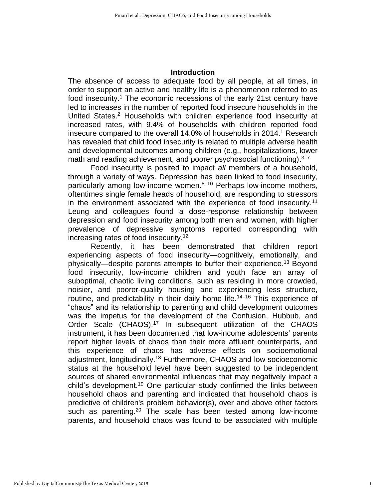#### **Introduction**

The absence of access to adequate food by all people, at all times, in order to support an active and healthy life is a phenomenon referred to as food insecurity.<sup>1</sup> The economic recessions of the early 21st century have led to increases in the number of reported food insecure households in the United States. <sup>2</sup> Households with children experience food insecurity at increased rates, with 9.4% of households with children reported food insecure compared to the overall 14.0% of households in 2014. <sup>1</sup> Research has revealed that child food insecurity is related to multiple adverse health and developmental outcomes among children (e.g., hospitalizations, lower math and reading achievement, and poorer psychosocial functioning).<sup>3-7</sup>

Food insecurity is posited to impact *all* members of a household, through a variety of ways. Depression has been linked to food insecurity, particularly among low-income women.<sup>8–10</sup> Perhaps low-income mothers, oftentimes single female heads of household, are responding to stressors in the environment associated with the experience of food insecurity.<sup>11</sup> Leung and colleagues found a dose-response relationship between depression and food insecurity among both men and women, with higher prevalence of depressive symptoms reported corresponding with increasing rates of food insecurity.<sup>12</sup>

Recently, it has been demonstrated that children report experiencing aspects of food insecurity—cognitively, emotionally, and physically—despite parents attempts to buffer their experience.<sup>13</sup> Beyond food insecurity, low-income children and youth face an array of suboptimal, chaotic living conditions, such as residing in more crowded, noisier, and poorer-quality housing and experiencing less structure, routine, and predictability in their daily home life.<sup>14–16</sup> This experience of "chaos" and its relationship to parenting and child development outcomes was the impetus for the development of the Confusion, Hubbub, and Order Scale (CHAOS).<sup>17</sup> In subsequent utilization of the CHAOS instrument, it has been documented that low-income adolescents' parents report higher levels of chaos than their more affluent counterparts, and this experience of chaos has adverse effects on socioemotional adjustment, longitudinally.<sup>18</sup> Furthermore, CHAOS and low socioeconomic status at the household level have been suggested to be independent sources of shared environmental influences that may negatively impact a child's development.<sup>19</sup> One particular study confirmed the links between household chaos and parenting and indicated that household chaos is predictive of children's problem behavior(s), over and above other factors such as parenting.<sup>20</sup> The scale has been tested among low-income parents, and household chaos was found to be associated with multiple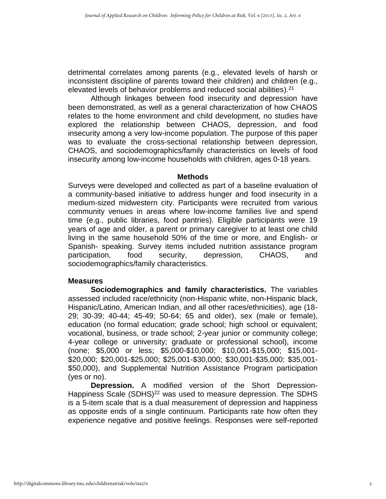detrimental correlates among parents (e.g., elevated levels of harsh or inconsistent discipline of parents toward their children) and children (e.g., elevated levels of behavior problems and reduced social abilities).<sup>21</sup>

Although linkages between food insecurity and depression have been demonstrated, as well as a general characterization of how CHAOS relates to the home environment and child development, no studies have explored the relationship between CHAOS, depression, and food insecurity among a very low-income population. The purpose of this paper was to evaluate the cross-sectional relationship between depression, CHAOS, and sociodemographics/family characteristics on levels of food insecurity among low-income households with children, ages 0-18 years.

#### **Methods**

Surveys were developed and collected as part of a baseline evaluation of a community-based initiative to address hunger and food insecurity in a medium-sized midwestern city. Participants were recruited from various community venues in areas where low-income families live and spend time (e.g., public libraries, food pantries). Eligible participants were 19 years of age and older, a parent or primary caregiver to at least one child living in the same household 50% of the time or more, and English- or Spanish- speaking. Survey items included nutrition assistance program participation, food security, depression, CHAOS, and sociodemographics/family characteristics.

#### **Measures**

**Sociodemographics and family characteristics.** The variables assessed included race/ethnicity (non-Hispanic white, non-Hispanic black, Hispanic/Latino, American Indian, and all other races/ethnicities), age (18- 29; 30-39; 40-44; 45-49; 50-64; 65 and older), sex (male or female), education (no formal education; grade school; high school or equivalent; vocational, business, or trade school; 2-year junior or community college; 4-year college or university; graduate or professional school), income (none; \$5,000 or less; \$5,000-\$10,000; \$10,001-\$15,000; \$15,001- \$20,000; \$20,001-\$25,000; \$25,001-\$30,000; \$30,001-\$35,000; \$35,001- \$50,000), and Supplemental Nutrition Assistance Program participation (yes or no).

**Depression.** A modified version of the Short Depression-Happiness Scale (SDHS)<sup>22</sup> was used to measure depression. The SDHS is a 5-item scale that is a dual measurement of depression and happiness as opposite ends of a single continuum. Participants rate how often they experience negative and positive feelings. Responses were self-reported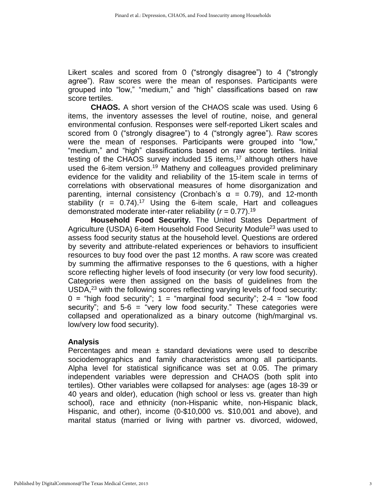Likert scales and scored from 0 ("strongly disagree") to 4 ("strongly agree"). Raw scores were the mean of responses. Participants were grouped into "low," "medium," and "high" classifications based on raw score tertiles.

**CHAOS.** A short version of the CHAOS scale was used. Using 6 items, the inventory assesses the level of routine, noise, and general environmental confusion. Responses were self-reported Likert scales and scored from 0 ("strongly disagree") to 4 ("strongly agree"). Raw scores were the mean of responses. Participants were grouped into "low," "medium," and "high" classifications based on raw score tertiles. Initial testing of the CHAOS survey included 15 items,<sup>17</sup> although others have used the 6-item version.<sup>19</sup> Matheny and colleagues provided preliminary evidence for the validity and reliability of the 15-item scale in terms of correlations with observational measures of home disorganization and parenting, internal consistency (Cronbach's  $\alpha = 0.79$ ), and 12-month stability  $(r = 0.74)^{17}$  Using the 6-item scale, Hart and colleagues demonstrated moderate inter-rater reliability  $(r = 0.77)$ .<sup>19</sup>

**Household Food Security.** The United States Department of Agriculture (USDA) 6-item Household Food Security Module<sup>23</sup> was used to assess food security status at the household level. Questions are ordered by severity and attribute-related experiences or behaviors to insufficient resources to buy food over the past 12 months. A raw score was created by summing the affirmative responses to the 6 questions, with a higher score reflecting higher levels of food insecurity (or very low food security). Categories were then assigned on the basis of guidelines from the USDA, <sup>23</sup> with the following scores reflecting varying levels of food security:  $0 =$  "high food security";  $1 =$  "marginal food security";  $2-4 =$  "low food security"; and  $5-6 =$  "very low food security." These categories were collapsed and operationalized as a binary outcome (high/marginal vs. low/very low food security).

# **Analysis**

Percentages and mean  $\pm$  standard deviations were used to describe sociodemographics and family characteristics among all participants. Alpha level for statistical significance was set at 0.05. The primary independent variables were depression and CHAOS (both split into tertiles). Other variables were collapsed for analyses: age (ages 18-39 or 40 years and older), education (high school or less vs. greater than high school), race and ethnicity (non-Hispanic white, non-Hispanic black, Hispanic, and other), income (0-\$10,000 vs. \$10,001 and above), and marital status (married or living with partner vs. divorced, widowed,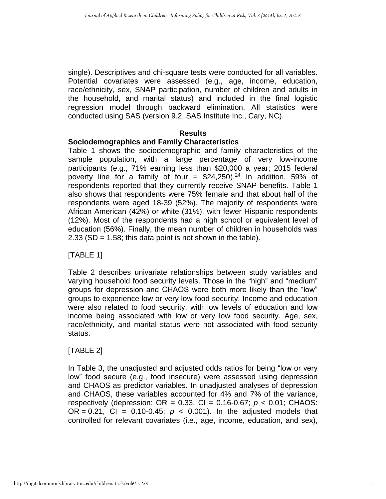single). Descriptives and chi-square tests were conducted for all variables. Potential covariates were assessed (e.g., age, income, education, race/ethnicity, sex, SNAP participation, number of children and adults in the household, and marital status) and included in the final logistic regression model through backward elimination. All statistics were conducted using SAS (version 9.2, SAS Institute Inc., Cary, NC).

# **Results**

# **Sociodemographics and Family Characteristics**

Table 1 shows the sociodemographic and family characteristics of the sample population, with a large percentage of very low-income participants (e.g., 71% earning less than \$20,000 a year; 2015 federal poverty line for a family of four =  $$24,250$ ).<sup>24</sup> In addition, 59% of respondents reported that they currently receive SNAP benefits. Table 1 also shows that respondents were 75% female and that about half of the respondents were aged 18-39 (52%). The majority of respondents were African American (42%) or white (31%), with fewer Hispanic respondents (12%). Most of the respondents had a high school or equivalent level of education (56%). Finally, the mean number of children in households was  $2.33$  (SD = 1.58; this data point is not shown in the table).

[TABLE 1]

Table 2 describes univariate relationships between study variables and varying household food security levels. Those in the "high" and "medium" groups for depression and CHAOS were both more likely than the "low" groups to experience low or very low food security. Income and education were also related to food security, with low levels of education and low income being associated with low or very low food security. Age, sex, race/ethnicity, and marital status were not associated with food security status.

# [TABLE 2]

In Table 3, the unadjusted and adjusted odds ratios for being "low or very low" food secure (e.g., food insecure) were assessed using depression and CHAOS as predictor variables. In unadjusted analyses of depression and CHAOS, these variables accounted for 4% and 7% of the variance, respectively (depression: OR = 0.33, CI = 0.16-0.67; *p* < 0.01; CHAOS: OR =  $0.21$ , CI =  $0.10 - 0.45$ ;  $p < 0.001$ ). In the adjusted models that controlled for relevant covariates (i.e., age, income, education, and sex),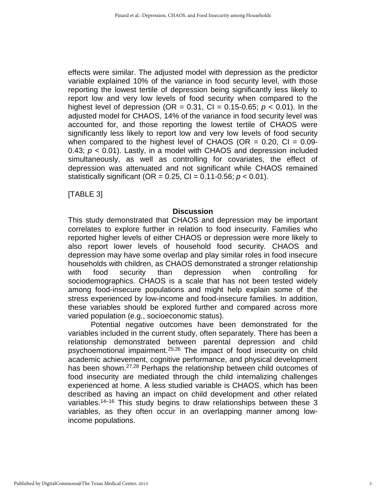effects were similar. The adjusted model with depression as the predictor variable explained 10% of the variance in food security level, with those reporting the lowest tertile of depression being significantly less likely to report low and very low levels of food security when compared to the highest level of depression (OR =  $0.31$ , CI =  $0.15$ -0.65;  $p < 0.01$ ). In the adjusted model for CHAOS, 14% of the variance in food security level was accounted for, and those reporting the lowest tertile of CHAOS were significantly less likely to report low and very low levels of food security when compared to the highest level of CHAOS (OR  $= 0.20$ , CI  $= 0.09$ -0.43; *p* < 0.01). Lastly, in a model with CHAOS and depression included simultaneously, as well as controlling for covariates, the effect of depression was attenuated and not significant while CHAOS remained statistically significant (OR =  $0.25$ , CI =  $0.11$ - $0.56$ ;  $p < 0.01$ ).

[TABLE 3]

#### **Discussion**

This study demonstrated that CHAOS and depression may be important correlates to explore further in relation to food insecurity. Families who reported higher levels of either CHAOS or depression were more likely to also report lower levels of household food security. CHAOS and depression may have some overlap and play similar roles in food insecure households with children, as CHAOS demonstrated a stronger relationship with food security than depression when controlling for sociodemographics. CHAOS is a scale that has not been tested widely among food-insecure populations and might help explain some of the stress experienced by low-income and food-insecure families. In addition, these variables should be explored further and compared across more varied population (e.g., socioeconomic status).

Potential negative outcomes have been demonstrated for the variables included in the current study, often separately. There has been a relationship demonstrated between parental depression and child psychoemotional impairment.25,26 The impact of food insecurity on child academic achievement, cognitive performance, and physical development has been shown.<sup>27,28</sup> Perhaps the relationship between child outcomes of food insecurity are mediated through the child internalizing challenges experienced at home. A less studied variable is CHAOS, which has been described as having an impact on child development and other related variables.<sup>14–16</sup> This study begins to draw relationships between these 3 variables, as they often occur in an overlapping manner among lowincome populations.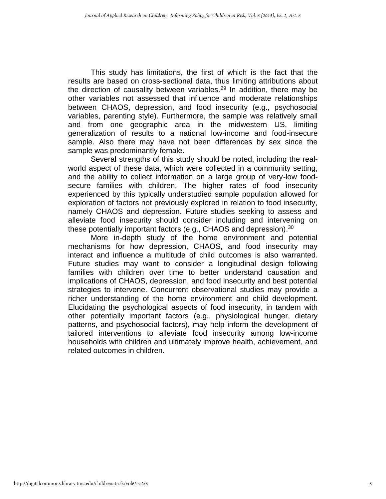This study has limitations, the first of which is the fact that the results are based on cross-sectional data, thus limiting attributions about the direction of causality between variables.<sup>29</sup> In addition, there may be other variables not assessed that influence and moderate relationships between CHAOS, depression, and food insecurity (e.g., psychosocial variables, parenting style). Furthermore, the sample was relatively small and from one geographic area in the midwestern US, limiting generalization of results to a national low-income and food-insecure sample. Also there may have not been differences by sex since the sample was predominantly female.

Several strengths of this study should be noted, including the realworld aspect of these data, which were collected in a community setting, and the ability to collect information on a large group of very-low foodsecure families with children. The higher rates of food insecurity experienced by this typically understudied sample population allowed for exploration of factors not previously explored in relation to food insecurity, namely CHAOS and depression. Future studies seeking to assess and alleviate food insecurity should consider including and intervening on these potentially important factors (e.g., CHAOS and depression). $^{30}$ 

More in-depth study of the home environment and potential mechanisms for how depression, CHAOS, and food insecurity may interact and influence a multitude of child outcomes is also warranted. Future studies may want to consider a longitudinal design following families with children over time to better understand causation and implications of CHAOS, depression, and food insecurity and best potential strategies to intervene. Concurrent observational studies may provide a richer understanding of the home environment and child development. Elucidating the psychological aspects of food insecurity, in tandem with other potentially important factors (e.g., physiological hunger, dietary patterns, and psychosocial factors), may help inform the development of tailored interventions to alleviate food insecurity among low-income households with children and ultimately improve health, achievement, and related outcomes in children.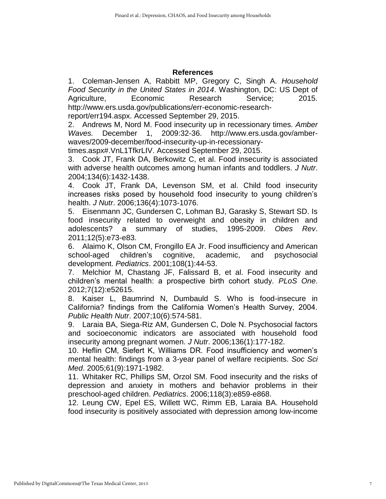### **References**

1. Coleman-Jensen A, Rabbitt MP, Gregory C, Singh A. *Household Food Security in the United States in 2014*. Washington, DC: US Dept of Agriculture, Economic Research Service; 2015. http://www.ers.usda.gov/publications/err-economic-research-

report/err194.aspx. Accessed September 29, 2015.

2. Andrews M, Nord M. Food insecurity up in recessionary times. *Amber Waves.* December 1, 2009:32-36. http://www.ers.usda.gov/amberwaves/2009-december/food-insecurity-up-in-recessionary-

times.aspx#.VnL1TfkrLIV. Accessed September 29, 2015.

3. Cook JT, Frank DA, Berkowitz C, et al. Food insecurity is associated with adverse health outcomes among human infants and toddlers. *J Nutr*. 2004;134(6):1432-1438.

4. Cook JT, Frank DA, Levenson SM, et al. Child food insecurity increases risks posed by household food insecurity to young children's health. *J Nutr*. 2006;136(4):1073-1076.

5. Eisenmann JC, Gundersen C, Lohman BJ, Garasky S, Stewart SD. Is food insecurity related to overweight and obesity in children and adolescents? a summary of studies, 1995-2009. *Obes Rev*. 2011;12(5):e73-e83.

6. Alaimo K, Olson CM, Frongillo EA Jr. Food insufficiency and American school-aged children's cognitive, academic, and psychosocial development. *Pediatrics*. 2001;108(1):44-53.

7. Melchior M, Chastang JF, Falissard B, et al. Food insecurity and children's mental health: a prospective birth cohort study. *PLoS One*. 2012;7(12):e52615.

8. Kaiser L, Baumrind N, Dumbauld S. Who is food-insecure in California? findings from the California Women's Health Survey, 2004. *Public Health Nutr*. 2007;10(6):574-581.

9. Laraia BA, Siega-Riz AM, Gundersen C, Dole N. Psychosocial factors and socioeconomic indicators are associated with household food insecurity among pregnant women. *J Nutr*. 2006;136(1):177-182.

10. Heflin CM, Siefert K, Williams DR. Food insufficiency and women's mental health: findings from a 3-year panel of welfare recipients. *Soc Sci Med*. 2005;61(9):1971-1982.

11. Whitaker RC, Phillips SM, Orzol SM. Food insecurity and the risks of depression and anxiety in mothers and behavior problems in their preschool-aged children. *Pediatrics*. 2006;118(3):e859-e868.

12. Leung CW, Epel ES, Willett WC, Rimm EB, Laraia BA. Household food insecurity is positively associated with depression among low-income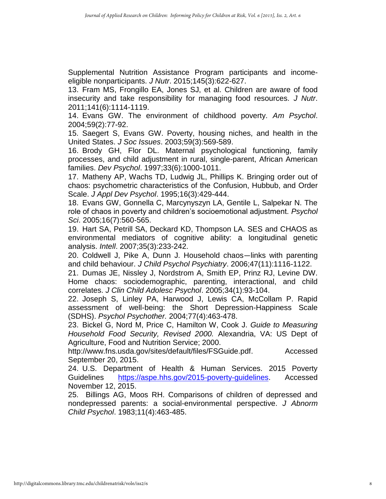Supplemental Nutrition Assistance Program participants and incomeeligible nonparticipants. *J Nutr*. 2015;145(3):622-627.

13. Fram MS, Frongillo EA, Jones SJ, et al. Children are aware of food insecurity and take responsibility for managing food resources. *J Nutr*. 2011;141(6):1114-1119.

14. Evans GW. The environment of childhood poverty. *Am Psychol*. 2004;59(2):77-92.

15. Saegert S, Evans GW. Poverty, housing niches, and health in the United States. *J Soc Issues*. 2003;59(3):569-589.

16. Brody GH, Flor DL. Maternal psychological functioning, family processes, and child adjustment in rural, single-parent, African American families. *Dev Psychol*. 1997;33(6):1000-1011.

17. Matheny AP, Wachs TD, Ludwig JL, Phillips K. Bringing order out of chaos: psychometric characteristics of the Confusion, Hubbub, and Order Scale. *J Appl Dev Psychol*. 1995;16(3):429-444.

18. Evans GW, Gonnella C, Marcynyszyn LA, Gentile L, Salpekar N. The role of chaos in poverty and children's socioemotional adjustment. *Psychol Sci*. 2005;16(7):560-565.

19. Hart SA, Petrill SA, Deckard KD, Thompson LA. SES and CHAOS as environmental mediators of cognitive ability: a longitudinal genetic analysis. *Intell*. 2007;35(3):233-242.

20. Coldwell J, Pike A, Dunn J. Household chaos—links with parenting and child behaviour. *J Child Psychol Psychiatry*. 2006;47(11):1116-1122.

21. Dumas JE, Nissley J, Nordstrom A, Smith EP, Prinz RJ, Levine DW. Home chaos: sociodemographic, parenting, interactional, and child correlates. *J Clin Child Adolesc Psychol*. 2005;34(1):93-104.

22. Joseph S, Linley PA, Harwood J, Lewis CA, McCollam P. Rapid assessment of well-being: the Short Depression-Happiness Scale (SDHS). *Psychol Psychother.* 2004;77(4):463-478.

23. Bickel G, Nord M, Price C, Hamilton W, Cook J. *Guide to Measuring Household Food Security, Revised 2000.* Alexandria, VA: US Dept of Agriculture, Food and Nutrition Service; 2000.

http://www.fns.usda.gov/sites/default/files/FSGuide.pdf. Accessed September 20, 2015.

24. U.S. Department of Health & Human Services. 2015 Poverty Guidelines [https://aspe.hhs.gov/2015-poverty-guidelines.](https://aspe.hhs.gov/2015-poverty-guidelines) Accessed November 12, 2015.

25. Billings AG, Moos RH. Comparisons of children of depressed and nondepressed parents: a social-environmental perspective. *J Abnorm Child Psychol*. 1983;11(4):463-485.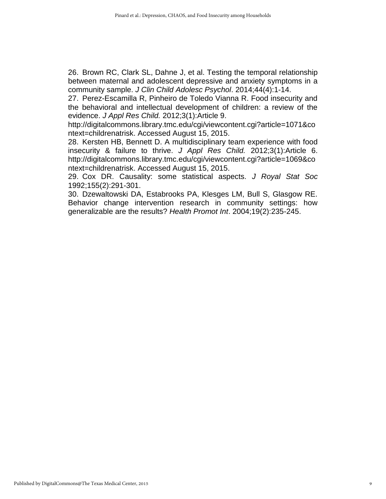26. Brown RC, Clark SL, Dahne J, et al. Testing the temporal relationship between maternal and adolescent depressive and anxiety symptoms in a community sample. *J Clin Child Adolesc Psychol*. 2014;44(4):1-14.

27. Perez-Escamilla R, Pinheiro de Toledo Vianna R. Food insecurity and the behavioral and intellectual development of children: a review of the evidence. *J Appl Res Child.* 2012;3(1):Article 9.

http://digitalcommons.library.tmc.edu/cgi/viewcontent.cgi?article=1071&co ntext=childrenatrisk. Accessed August 15, 2015.

28. Kersten HB, Bennett D. A multidisciplinary team experience with food insecurity & failure to thrive. *J Appl Res Child.* 2012;3(1):Article 6. http://digitalcommons.library.tmc.edu/cgi/viewcontent.cgi?article=1069&co ntext=childrenatrisk. Accessed August 15, 2015.

29. Cox DR. Causality: some statistical aspects. *J Royal Stat Soc*  1992;155(2):291-301.

30. Dzewaltowski DA, Estabrooks PA, Klesges LM, Bull S, Glasgow RE. Behavior change intervention research in community settings: how generalizable are the results? *Health Promot Int*. 2004;19(2):235-245.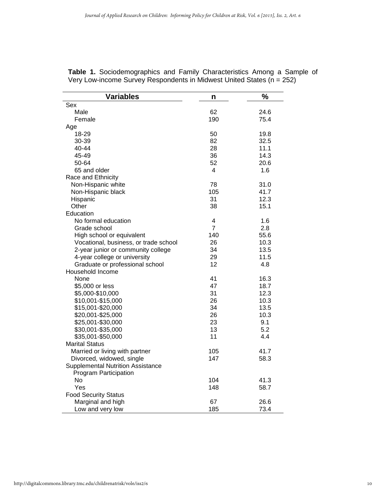| <b>Variables</b>                         | n              | $\frac{1}{2}$ |
|------------------------------------------|----------------|---------------|
| Sex                                      |                |               |
| Male                                     | 62             | 24.6          |
| Female                                   | 190            | 75.4          |
| Age                                      |                |               |
| 18-29                                    | 50             | 19.8          |
| 30-39                                    | 82             | 32.5          |
| 40-44                                    | 28             | 11.1          |
| 45-49                                    | 36             | 14.3          |
| 50-64                                    | 52             | 20.6          |
| 65 and older                             | 4              | 1.6           |
| Race and Ethnicity                       |                |               |
| Non-Hispanic white                       | 78             | 31.0          |
| Non-Hispanic black                       | 105            | 41.7          |
| Hispanic                                 | 31             | 12.3          |
| Other                                    | 38             | 15.1          |
| Education                                |                |               |
| No formal education                      | 4              | 1.6           |
| Grade school                             | $\overline{7}$ | 2.8           |
| High school or equivalent                | 140            | 55.6          |
| Vocational, business, or trade school    | 26             | 10.3          |
| 2-year junior or community college       | 34             | 13.5          |
| 4-year college or university             | 29             | 11.5          |
| Graduate or professional school          | 12             | 4.8           |
| Household Income                         |                |               |
| None                                     | 41             | 16.3          |
| \$5,000 or less                          | 47             | 18.7          |
| \$5,000-\$10,000                         | 31             | 12.3          |
| \$10,001-\$15,000                        | 26             | 10.3          |
| \$15,001-\$20,000                        | 34             | 13.5          |
| \$20,001-\$25,000                        | 26             | 10.3          |
| \$25,001-\$30,000                        | 23             | 9.1           |
| \$30,001-\$35,000                        | 13             | 5.2           |
| \$35,001-\$50,000                        | 11             | 4.4           |
| <b>Marital Status</b>                    |                |               |
| Married or living with partner           | 105            | 41.7          |
| Divorced, widowed, single                | 147            | 58.3          |
| <b>Supplemental Nutrition Assistance</b> |                |               |
| Program Participation                    |                |               |
| No                                       | 104            | 41.3          |
| Yes                                      | 148            | 58.7          |
| <b>Food Security Status</b>              |                |               |
| Marginal and high                        | 67             | 26.6          |
| Low and very low                         | 185            | 73.4          |

|  | Table 1. Sociodemographics and Family Characteristics Among a Sample of |  |  |  |  |  |
|--|-------------------------------------------------------------------------|--|--|--|--|--|
|  | Very Low-income Survey Respondents in Midwest United States (n = 252)   |  |  |  |  |  |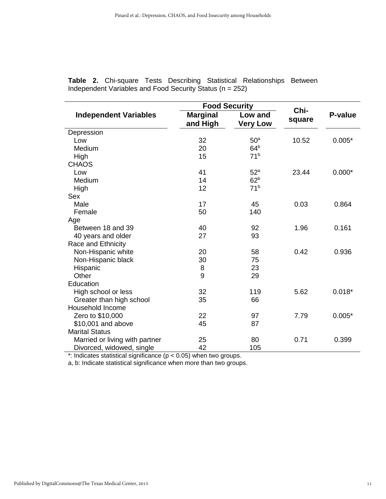|                                |                             | <b>Food Security</b>       |                | P-value  |  |
|--------------------------------|-----------------------------|----------------------------|----------------|----------|--|
| <b>Independent Variables</b>   | <b>Marginal</b><br>and High | Low and<br><b>Very Low</b> | Chi-<br>square |          |  |
| Depression                     |                             |                            |                |          |  |
| Low                            | 32                          | 50 <sup>a</sup>            | 10.52          | $0.005*$ |  |
| Medium                         | 20                          | 64 <sup>b</sup>            |                |          |  |
| High                           | 15                          | 71 <sup>b</sup>            |                |          |  |
| <b>CHAOS</b>                   |                             |                            |                |          |  |
| Low                            | 41                          | 52 <sup>a</sup>            | 23.44          | $0.000*$ |  |
| Medium                         | 14                          | 62 <sup>b</sup>            |                |          |  |
| High                           | 12                          | 71 <sup>b</sup>            |                |          |  |
| Sex                            |                             |                            |                |          |  |
| Male                           | 17                          | 45                         | 0.03           | 0.864    |  |
| Female                         | 50                          | 140                        |                |          |  |
| Age                            |                             |                            |                |          |  |
| Between 18 and 39              | 40                          | 92                         | 1.96           | 0.161    |  |
| 40 years and older             | 27                          | 93                         |                |          |  |
| Race and Ethnicity             |                             |                            |                |          |  |
| Non-Hispanic white             | 20                          | 58                         | 0.42           | 0.936    |  |
| Non-Hispanic black             | 30                          | 75                         |                |          |  |
| Hispanic                       | 8                           | 23                         |                |          |  |
| Other                          | 9                           | 29                         |                |          |  |
| Education                      |                             |                            |                |          |  |
| High school or less            | 32                          | 119                        | 5.62           | $0.018*$ |  |
| Greater than high school       | 35                          | 66                         |                |          |  |
| Household Income               |                             |                            |                |          |  |
| Zero to \$10,000               | 22                          | 97                         | 7.79           | $0.005*$ |  |
| \$10,001 and above             | 45                          | 87                         |                |          |  |
| <b>Marital Status</b>          |                             |                            |                |          |  |
| Married or living with partner | 25                          | 80                         | 0.71           | 0.399    |  |
| Divorced, widowed, single      | 42                          | 105                        |                |          |  |

**Table 2.** Chi-square Tests Describing Statistical Relationships Between Independent Variables and Food Security Status (n = 252)

\*: Indicates statistical significance (p < 0.05) when two groups.

a, b: Indicate statistical significance when more than two groups.